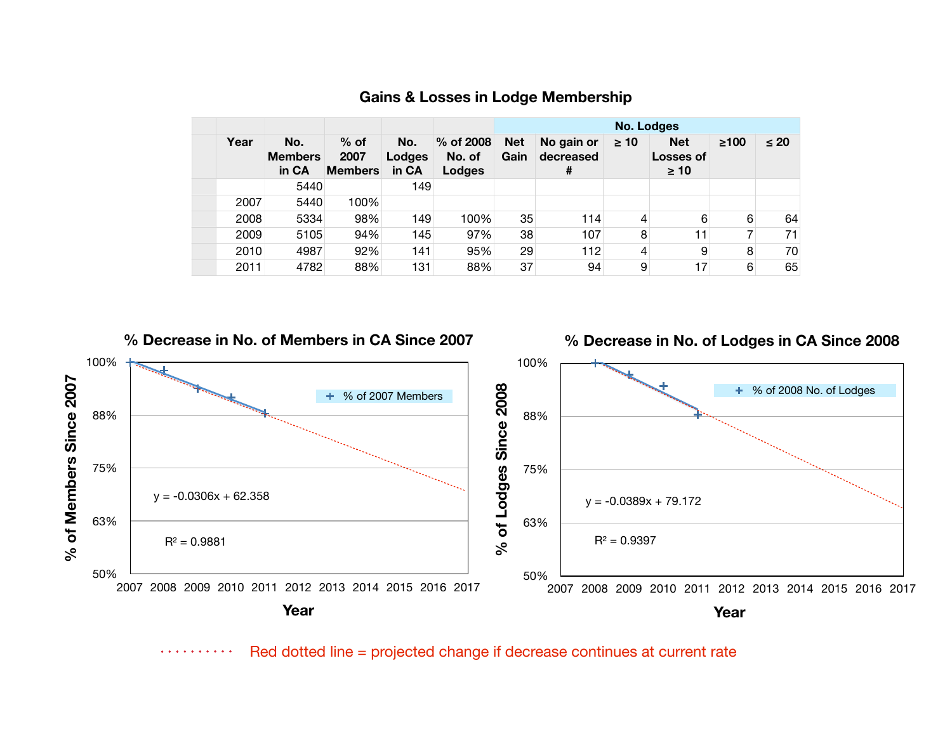|      |                                |                                  |                        |                               | <b>No. Lodges</b>  |                              |           |                                             |            |           |
|------|--------------------------------|----------------------------------|------------------------|-------------------------------|--------------------|------------------------------|-----------|---------------------------------------------|------------|-----------|
| Year | No.<br><b>Members</b><br>in CA | $%$ of<br>2007<br><b>Members</b> | No.<br>Lodges<br>in CA | % of 2008<br>No. of<br>Lodges | <b>Net</b><br>Gain | No gain or<br>decreased<br># | $\geq 10$ | <b>Net</b><br><b>Losses of</b><br>$\geq 10$ | $\geq 100$ | $\leq 20$ |
|      | 5440                           |                                  | 149                    |                               |                    |                              |           |                                             |            |           |
| 2007 | 5440                           | 100%                             |                        |                               |                    |                              |           |                                             |            |           |
| 2008 | 5334                           | 98%                              | 149                    | 100%                          | 35                 | 114                          | 4         | 6                                           | 6          | 64        |
| 2009 | 5105                           | 94%                              | 145                    | 97%                           | 38                 | 107                          | 8         | 11                                          | ⇁          | 71        |
| 2010 | 4987                           | 92%                              | 141                    | 95%                           | 29                 | 112                          | 4         | 9                                           | 8          | 70        |
| 2011 | 4782                           | 88%                              | 131                    | 88%                           | 37                 | 94                           | 9         | 17                                          | 6          | 65        |

## **Gains & Losses in Lodge Membership**



Red dotted line = projected change if decrease continues at current rate. . . . . . . . . .